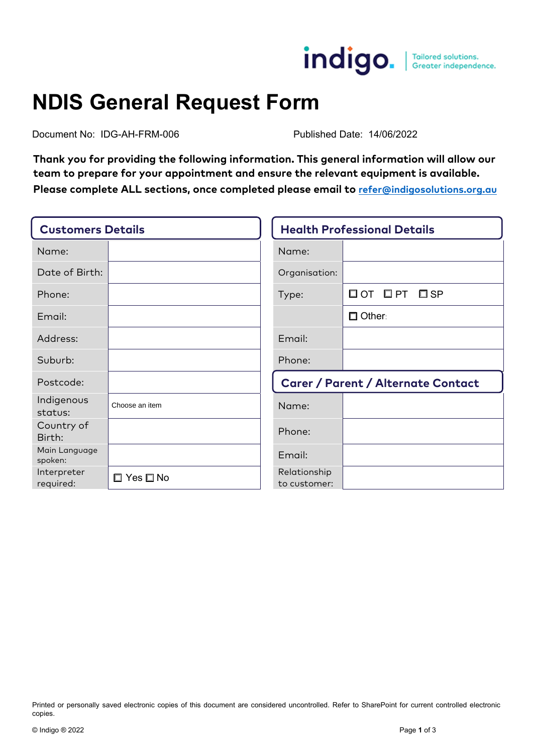

## **NDIS General Request Form**

Document No: IDG-AH-FRM-006 Published Date: 14/06/2022

**Thank you for providing the following information. This general information will allow our team to prepare for your appointment and ensure the relevant equipment is available. Please complete ALL sections, once completed please email to [refer@indigosolutions.org.au](mailto:refer@indigosolutions.org.au)**

| <b>Customers Details</b> |                            | <b>Health Professional Details</b>        |                                     |  |
|--------------------------|----------------------------|-------------------------------------------|-------------------------------------|--|
| Name:                    |                            | Name:                                     |                                     |  |
| Date of Birth:           |                            | Organisation:                             |                                     |  |
| Phone:                   |                            | Type:                                     | $\Box$ OT $\Box$ PT<br>$\square$ SP |  |
| Email:                   |                            |                                           | $\Box$ Other:                       |  |
| Address:                 |                            | Email:                                    |                                     |  |
| Suburb:                  |                            | Phone:                                    |                                     |  |
| Postcode:                |                            | <b>Carer / Parent / Alternate Contact</b> |                                     |  |
| Indigenous<br>status:    | Choose an item             | Name:                                     |                                     |  |
| Country of<br>Birth:     |                            | Phone:                                    |                                     |  |
| Main Language<br>spoken: |                            | Email:                                    |                                     |  |
| Interpreter<br>required: | $\square$ Yes $\square$ No | Relationship<br>to customer:              |                                     |  |

Printed or personally saved electronic copies of this document are considered uncontrolled. Refer to SharePoint for current controlled electronic copies.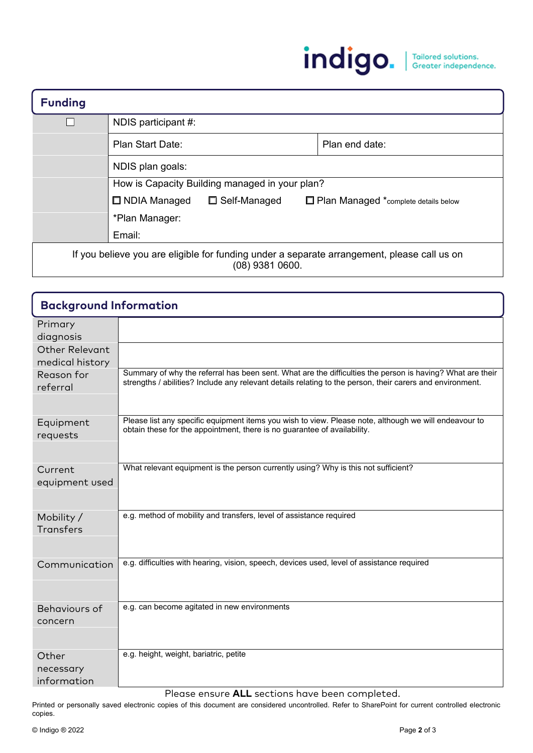

| <b>Funding</b>                                                                                                   |                                                |  |                                        |                |
|------------------------------------------------------------------------------------------------------------------|------------------------------------------------|--|----------------------------------------|----------------|
|                                                                                                                  | NDIS participant #:                            |  |                                        |                |
|                                                                                                                  | Plan Start Date:                               |  |                                        | Plan end date: |
|                                                                                                                  | NDIS plan goals:                               |  |                                        |                |
|                                                                                                                  | How is Capacity Building managed in your plan? |  |                                        |                |
|                                                                                                                  | $\Box$ NDIA Managed<br>$\Box$ Self-Managed     |  | □ Plan Managed *complete details below |                |
|                                                                                                                  | *Plan Manager:                                 |  |                                        |                |
|                                                                                                                  | Email:                                         |  |                                        |                |
| If you believe you are eligible for funding under a separate arrangement, please call us on<br>$(08)$ 9381 0600. |                                                |  |                                        |                |

| <b>Background Information</b>            |                                                                                                                                                                                                                        |
|------------------------------------------|------------------------------------------------------------------------------------------------------------------------------------------------------------------------------------------------------------------------|
| Primary<br>diagnosis                     |                                                                                                                                                                                                                        |
| <b>Other Relevant</b><br>medical history |                                                                                                                                                                                                                        |
| Reason for<br>referral                   | Summary of why the referral has been sent. What are the difficulties the person is having? What are their<br>strengths / abilities? Include any relevant details relating to the person, their carers and environment. |
| Equipment<br>requests                    | Please list any specific equipment items you wish to view. Please note, although we will endeavour to<br>obtain these for the appointment, there is no guarantee of availability.                                      |
| Current<br>equipment used                | What relevant equipment is the person currently using? Why is this not sufficient?                                                                                                                                     |
| Mobility /<br><b>Transfers</b>           | e.g. method of mobility and transfers, level of assistance required                                                                                                                                                    |
| Communication                            | e.g. difficulties with hearing, vision, speech, devices used, level of assistance required                                                                                                                             |
| Behaviours of<br>concern                 | e.g. can become agitated in new environments                                                                                                                                                                           |
| Other<br>necessary<br>information        | e.g. height, weight, bariatric, petite                                                                                                                                                                                 |

Please ensure **ALL** sections have been completed.

Printed or personally saved electronic copies of this document are considered uncontrolled. Refer to SharePoint for current controlled electronic copies.